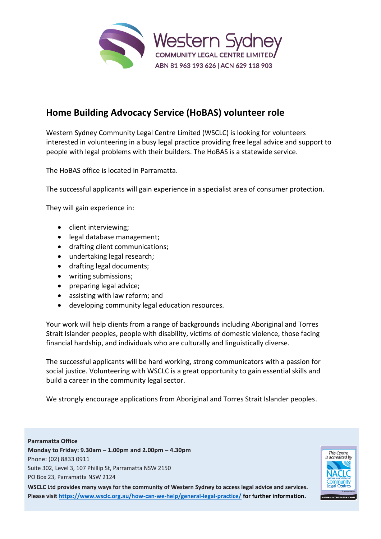

## **Home Building Advocacy Service (HoBAS) volunteer role**

Western Sydney Community Legal Centre Limited (WSCLC) is looking for volunteers interested in volunteering in a busy legal practice providing free legal advice and support to people with legal problems with their builders. The HoBAS is a statewide service.

The HoBAS office is located in Parramatta.

The successful applicants will gain experience in a specialist area of consumer protection.

They will gain experience in:

- client interviewing;
- legal database management;
- drafting client communications;
- undertaking legal research;
- drafting legal documents;
- writing submissions;
- preparing legal advice;
- assisting with law reform; and
- developing community legal education resources.

Your work will help clients from a range of backgrounds including Aboriginal and Torres Strait Islander peoples, people with disability, victims of domestic violence, those facing financial hardship, and individuals who are culturally and linguistically diverse.

The successful applicants will be hard working, strong communicators with a passion for social justice. Volunteering with WSCLC is a great opportunity to gain essential skills and build a career in the community legal sector.

We strongly encourage applications from Aboriginal and Torres Strait Islander peoples.

## **Parramatta Office**

**Monday to Friday: 9.30am – 1.00pm and 2.00pm – 4.30pm** Phone: (02) 8833 0911 Suite 302, Level 3, 107 Phillip St, Parramatta NSW 2150 PO Box 23, Parramatta NSW 2124

**WSCLC Ltd provides many ways for the community of Western Sydney to access legal advice and services. Please visit<https://www.wsclc.org.au/how-can-we-help/general-legal-practice/> for further information.**